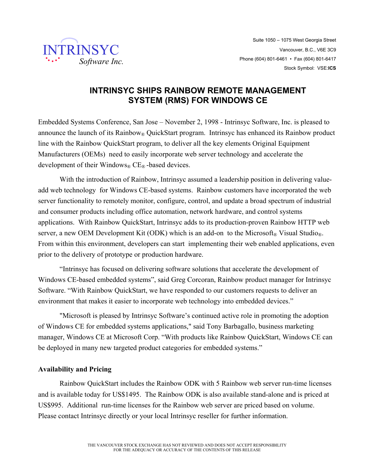

## **INTRINSYC SHIPS RAINBOW REMOTE MANAGEMENT SYSTEM (RMS) FOR WINDOWS CE**

Embedded Systems Conference, San Jose – November 2, 1998 - Intrinsyc Software, Inc. is pleased to announce the launch of its Rainbow<sup>®</sup> QuickStart program. Intrinsyc has enhanced its Rainbow product line with the Rainbow QuickStart program, to deliver all the key elements Original Equipment Manufacturers (OEMs) need to easily incorporate web server technology and accelerate the development of their Windows<sup>®</sup> CE<sup>®</sup> -based devices.

With the introduction of Rainbow, Intrinsyc assumed a leadership position in delivering valueadd web technology for Windows CE-based systems. Rainbow customers have incorporated the web server functionality to remotely monitor, configure, control, and update a broad spectrum of industrial and consumer products including office automation, network hardware, and control systems applications. With Rainbow QuickStart, Intrinsyc adds to its production-proven Rainbow HTTP web server, a new OEM Development Kit (ODK) which is an add-on to the Microsoft<sub>®</sub> Visual Studio<sub>®</sub>. From within this environment, developers can start implementing their web enabled applications, even prior to the delivery of prototype or production hardware.

"Intrinsyc has focused on delivering software solutions that accelerate the development of Windows CE-based embedded systems", said Greg Corcoran, Rainbow product manager for Intrinsyc Software. "With Rainbow QuickStart, we have responded to our customers requests to deliver an environment that makes it easier to incorporate web technology into embedded devices."

 "Microsoft is pleased by Intrinsyc Software's continued active role in promoting the adoption of Windows CE for embedded systems applications," said Tony Barbagallo, business marketing manager, Windows CE at Microsoft Corp. "With products like Rainbow QuickStart, Windows CE can be deployed in many new targeted product categories for embedded systems."

## **Availability and Pricing**

Rainbow QuickStart includes the Rainbow ODK with 5 Rainbow web server run-time licenses and is available today for US\$1495. The Rainbow ODK is also available stand-alone and is priced at US\$995. Additional run-time licenses for the Rainbow web server are priced based on volume. Please contact Intrinsyc directly or your local Intrinsyc reseller for further information.